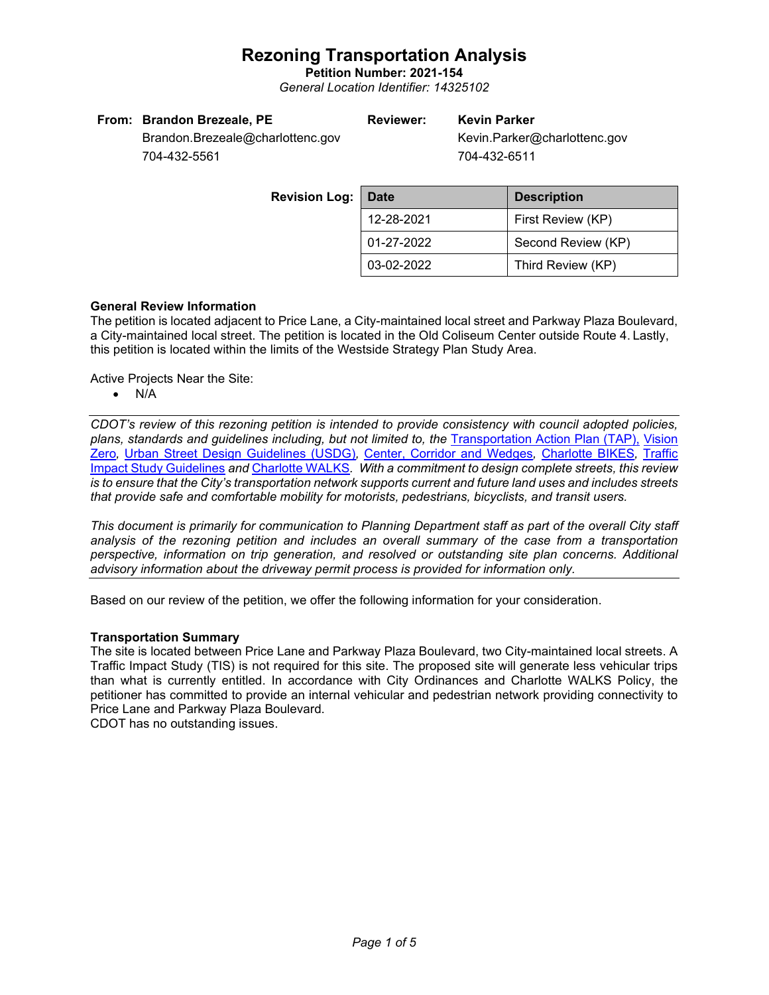**Petition Number: 2021-154** *General Location Identifier: 14325102*

| From: Brandon Brezeale, PE       | <b>Reviewer:</b> | <b>Kevin Parker</b>          |
|----------------------------------|------------------|------------------------------|
| Brandon.Brezeale@charlottenc.gov |                  | Kevin.Parker@charlottenc.gov |
|                                  |                  | <b>-01 100 0511</b>          |

704-432-5561

704-432-6511

**Revision** L

| :po. | <b>Date</b> | <b>Description</b> |  |
|------|-------------|--------------------|--|
|      | 12-28-2021  | First Review (KP)  |  |
|      | 01-27-2022  | Second Review (KP) |  |
|      | 03-02-2022  | Third Review (KP)  |  |

## **General Review Information**

The petition is located adjacent to Price Lane, a City-maintained local street and Parkway Plaza Boulevard, a City-maintained local street. The petition is located in the Old Coliseum Center outside Route 4. Lastly, this petition is located within the limits of the Westside Strategy Plan Study Area.

Active Projects Near the Site:

• N/A

*CDOT's review of this rezoning petition is intended to provide consistency with council adopted policies, plans, standards and guidelines including, but not limited to, the* [Transportation Action Plan \(TAP\),](https://charlottenc.gov/Transportation/Programs/Pages/TransportationActionPlan.aspx) [Vision](https://charlottenc.gov/VisionZero/Pages/VisionZero.aspx)  [Zero](https://charlottenc.gov/VisionZero/Pages/VisionZero.aspx)*,* [Urban Street Design Guidelines \(USDG\)](https://charlottenc.gov/Transportation/PlansProjects/Documents/USDG%20Full%20Document.pdf)*,* [Center, Corridor and Wedges](http://ww.charmeck.org/Planning/Land%20Use%20Planning/CentersCorridorsWedges/CentersCorridorsWedges(Adopted).pdf)*,* [Charlotte BIKES](https://charlottenc.gov/Transportation/Programs/Pages/Bicycle.aspx)*,* [Traffic](https://charlottenc.gov/Transportation/Permits/Documents/TISProcessandGuildlines.pdf)  [Impact Study Guidelines](https://charlottenc.gov/Transportation/Permits/Documents/TISProcessandGuildlines.pdf) *and* [Charlotte WALKS](https://charlottenc.gov/Transportation/Programs/Pages/CharlotteWalks.aspx)*. With a commitment to design complete streets, this review is to ensure that the City's transportation network supports current and future land uses and includes streets that provide safe and comfortable mobility for motorists, pedestrians, bicyclists, and transit users.*

*This document is primarily for communication to Planning Department staff as part of the overall City staff analysis of the rezoning petition and includes an overall summary of the case from a transportation perspective, information on trip generation, and resolved or outstanding site plan concerns. Additional advisory information about the driveway permit process is provided for information only.*

Based on our review of the petition, we offer the following information for your consideration.

## **Transportation Summary**

The site is located between Price Lane and Parkway Plaza Boulevard, two City-maintained local streets. A Traffic Impact Study (TIS) is not required for this site. The proposed site will generate less vehicular trips than what is currently entitled. In accordance with City Ordinances and Charlotte WALKS Policy, the petitioner has committed to provide an internal vehicular and pedestrian network providing connectivity to Price Lane and Parkway Plaza Boulevard.

CDOT has no outstanding issues.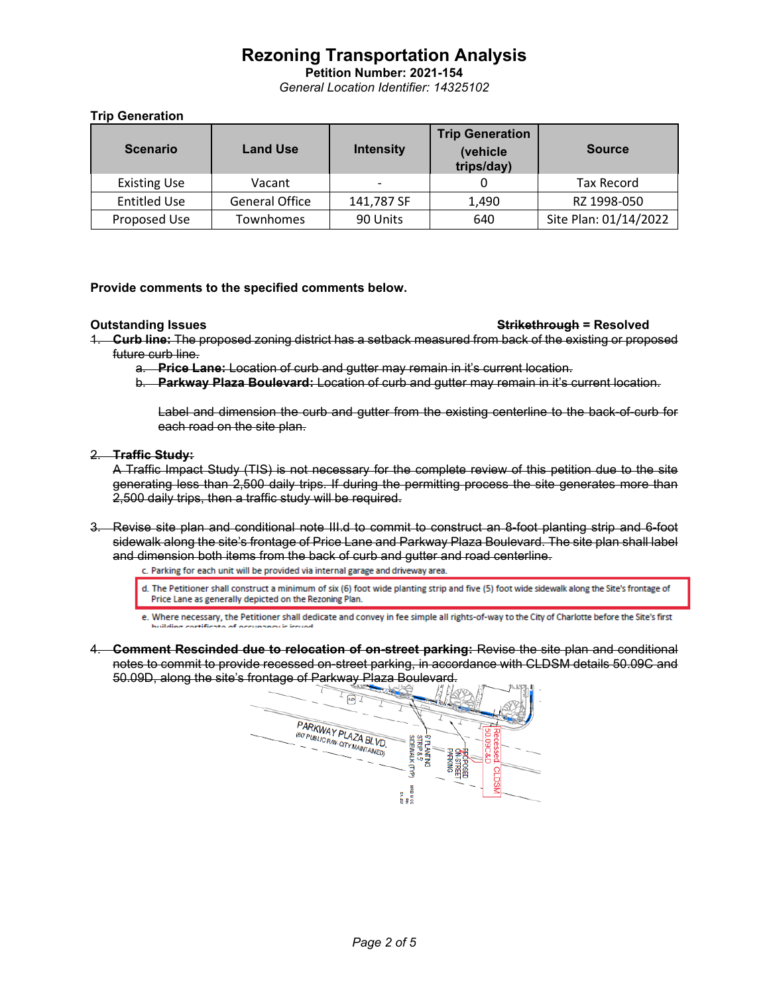**Petition Number: 2021-154** *General Location Identifier: 14325102*

## **Trip Generation**

| <b>Scenario</b>     | <b>Land Use</b>       | <b>Intensity</b>         | <b>Trip Generation</b><br>(vehicle<br>trips/day) | <b>Source</b>         |
|---------------------|-----------------------|--------------------------|--------------------------------------------------|-----------------------|
| <b>Existing Use</b> | Vacant                | $\overline{\phantom{0}}$ |                                                  | <b>Tax Record</b>     |
| <b>Entitled Use</b> | <b>General Office</b> | 141,787 SF               | 1,490                                            | RZ 1998-050           |
| Proposed Use        | Townhomes             | 90 Units                 | 640                                              | Site Plan: 01/14/2022 |

### **Provide comments to the specified comments below.**

- **Outstanding Issues Strikethrough = Resolved**
- 1. **Curb line:** The proposed zoning district has a setback measured from back of the existing or proposed future curb line.
	- a. **Price Lane:** Location of curb and gutter may remain in it's current location.
	- b. **Parkway Plaza Boulevard:** Location of curb and gutter may remain in it's current location.

Label and dimension the curb and gutter from the existing centerline to the back-of-curb for each road on the site plan.

### 2. **Traffic Study:**

A Traffic Impact Study (TIS) is not necessary for the complete review of this petition due to the site generating less than 2,500 daily trips. If during the permitting process the site generates more than 2,500 daily trips, then a traffic study will be required.

3. Revise site plan and conditional note III.d to commit to construct an 8-foot planting strip and 6-foot sidewalk along the site's frontage of Price Lane and Parkway Plaza Boulevard. The site plan shall label and dimension both items from the back of curb and gutter and road centerline.<br>c. Parking for each unit will be provided via internal garage and driveway area.

- d. The Petitioner shall construct a minimum of six (6) foot wide planting strip and five (5) foot wide sidewalk along the Site's frontage of Price Lane as generally depicted on the Rezoning Plan.
- e. Where necessary, the Petitioner shall dedicate and convey in fee simple all rights-of-way to the City of Charlotte before the Site's first
- 4. **Comment Rescinded due to relocation of on-street parking:** Revise the site plan and conditional notes to commit to provide recessed on-street parking, in accordance with CLDSM details 50.09C and 50.09D, along the site's frontage of Parkway Plaza Boulevard.

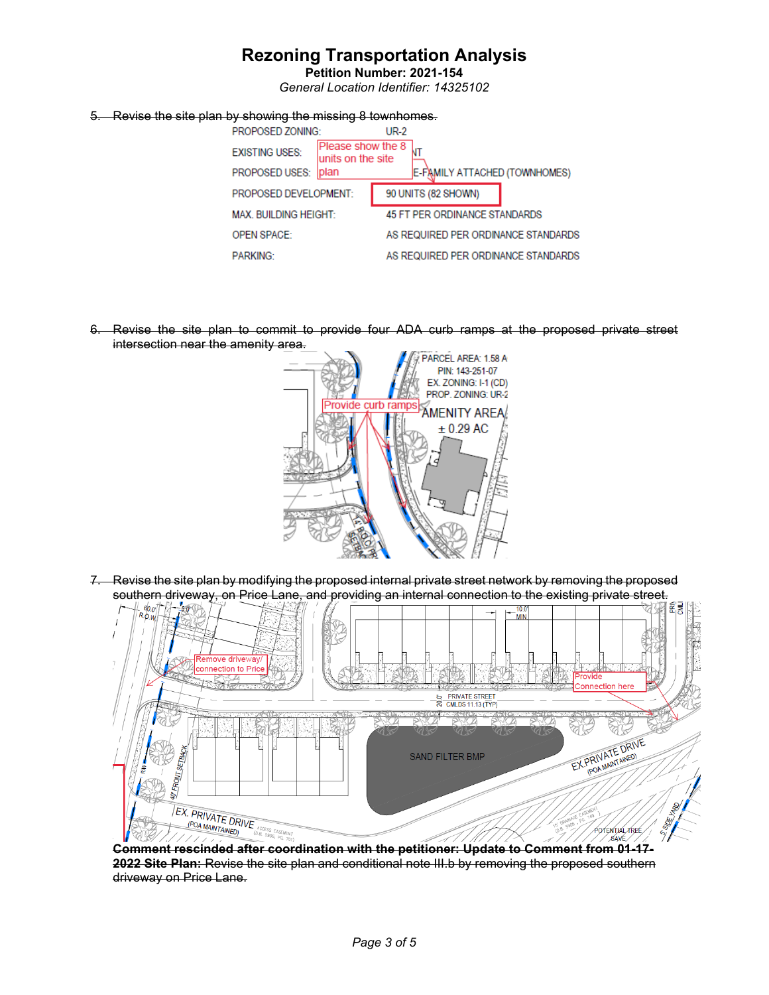**Petition Number: 2021-154** *General Location Identifier: 14325102*

### 5. Revise the site plan by showing the missing 8 townhomes.

| PROPOSED ZONING:<br>UR-2     |                                        |                                     |  |  |  |
|------------------------------|----------------------------------------|-------------------------------------|--|--|--|
| <b>EXISTING USES:</b>        | Please show the 8<br>units on the site |                                     |  |  |  |
| PROPOSED USES:               | <b>plan</b>                            | E-FAMILY ATTACHED (TOWNHOMES)       |  |  |  |
| PROPOSED DEVELOPMENT:        |                                        | 90 UNITS (82 SHOWN)                 |  |  |  |
| <b>MAX. BUILDING HEIGHT:</b> |                                        | 45 FT PER ORDINANCE STANDARDS       |  |  |  |
| <b>OPEN SPACE:</b>           |                                        | AS REQUIRED PER ORDINANCE STANDARDS |  |  |  |
| <b>PARKING:</b>              |                                        | AS REQUIRED PER ORDINANCE STANDARDS |  |  |  |
|                              |                                        |                                     |  |  |  |

6. Revise the site plan to commit to provide four ADA curb ramps at the proposed private street intersection near the amenity area.



7. Revise the site plan by modifying the proposed internal private street network by removing the proposed southern driveway, on Price Lane, and providing an internal connection to the existing private street.



**Comment rescinded after coordination with the petitioner: Update to Comment from 01-17- 2022 Site Plan:** Revise the site plan and conditional note III.b by removing the proposed southern driveway on Price Lane.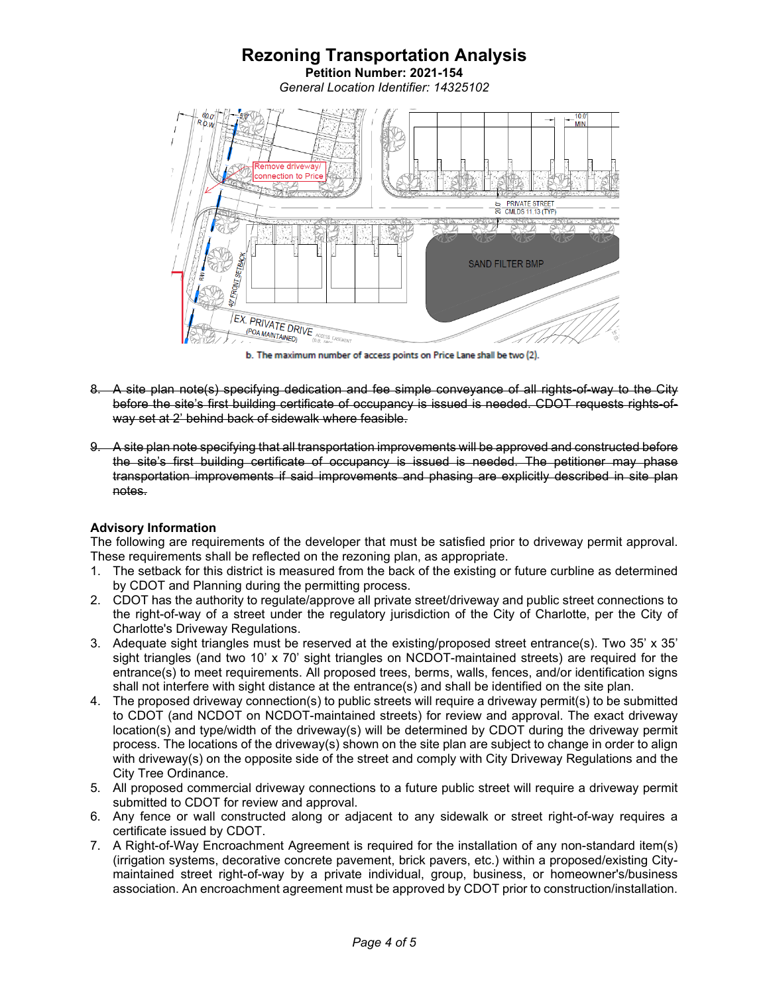

b. The maximum number of access points on Price Lane shall be two (2).

- 8. A site plan note(s) specifying dedication and fee simple conveyance of all rights-of-way to the City before the site's first building certificate of occupancy is issued is needed. CDOT requests rights-ofway set at 2' behind back of sidewalk where feasible.
- 9. A site plan note specifying that all transportation improvements will be approved and constructed before the site's first building certificate of occupancy is issued is needed. The petitioner may phase transportation improvements if said improvements and phasing are explicitly described in site plan notes.

## **Advisory Information**

The following are requirements of the developer that must be satisfied prior to driveway permit approval. These requirements shall be reflected on the rezoning plan, as appropriate.

- 1. The setback for this district is measured from the back of the existing or future curbline as determined by CDOT and Planning during the permitting process.
- 2. CDOT has the authority to regulate/approve all private street/driveway and public street connections to the right-of-way of a street under the regulatory jurisdiction of the City of Charlotte, per the City of Charlotte's Driveway Regulations.
- 3. Adequate sight triangles must be reserved at the existing/proposed street entrance(s). Two 35' x 35' sight triangles (and two 10' x 70' sight triangles on NCDOT-maintained streets) are required for the entrance(s) to meet requirements. All proposed trees, berms, walls, fences, and/or identification signs shall not interfere with sight distance at the entrance(s) and shall be identified on the site plan.
- 4. The proposed driveway connection(s) to public streets will require a driveway permit(s) to be submitted to CDOT (and NCDOT on NCDOT-maintained streets) for review and approval. The exact driveway location(s) and type/width of the driveway(s) will be determined by CDOT during the driveway permit process. The locations of the driveway(s) shown on the site plan are subject to change in order to align with driveway(s) on the opposite side of the street and comply with City Driveway Regulations and the City Tree Ordinance.
- 5. All proposed commercial driveway connections to a future public street will require a driveway permit submitted to CDOT for review and approval.
- 6. Any fence or wall constructed along or adjacent to any sidewalk or street right-of-way requires a certificate issued by CDOT.
- 7. A Right-of-Way Encroachment Agreement is required for the installation of any non-standard item(s) (irrigation systems, decorative concrete pavement, brick pavers, etc.) within a proposed/existing Citymaintained street right-of-way by a private individual, group, business, or homeowner's/business association. An encroachment agreement must be approved by CDOT prior to construction/installation.